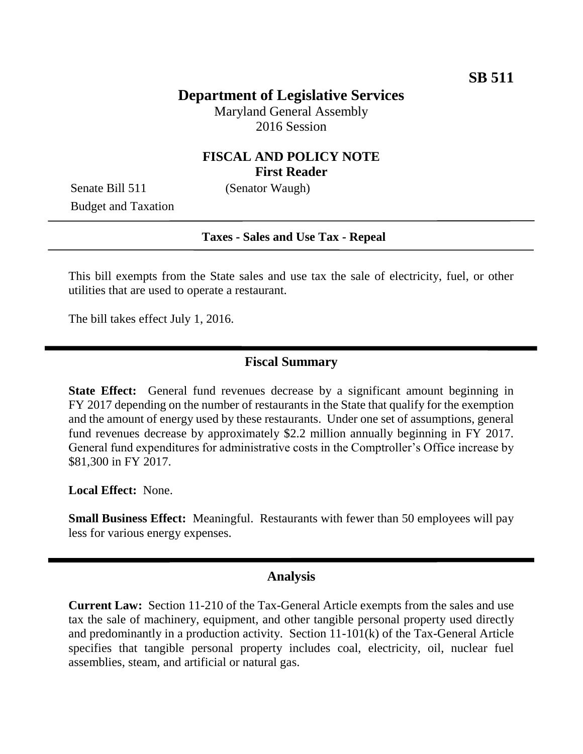# **Department of Legislative Services**

Maryland General Assembly 2016 Session

### **FISCAL AND POLICY NOTE First Reader**

Senate Bill 511 (Senator Waugh) Budget and Taxation

#### **Taxes - Sales and Use Tax - Repeal**

This bill exempts from the State sales and use tax the sale of electricity, fuel, or other utilities that are used to operate a restaurant.

The bill takes effect July 1, 2016.

#### **Fiscal Summary**

**State Effect:** General fund revenues decrease by a significant amount beginning in FY 2017 depending on the number of restaurants in the State that qualify for the exemption and the amount of energy used by these restaurants. Under one set of assumptions, general fund revenues decrease by approximately \$2.2 million annually beginning in FY 2017. General fund expenditures for administrative costs in the Comptroller's Office increase by \$81,300 in FY 2017.

**Local Effect:** None.

**Small Business Effect:** Meaningful. Restaurants with fewer than 50 employees will pay less for various energy expenses.

#### **Analysis**

**Current Law:** Section 11-210 of the Tax-General Article exempts from the sales and use tax the sale of machinery, equipment, and other tangible personal property used directly and predominantly in a production activity. Section 11-101(k) of the Tax-General Article specifies that tangible personal property includes coal, electricity, oil, nuclear fuel assemblies, steam, and artificial or natural gas.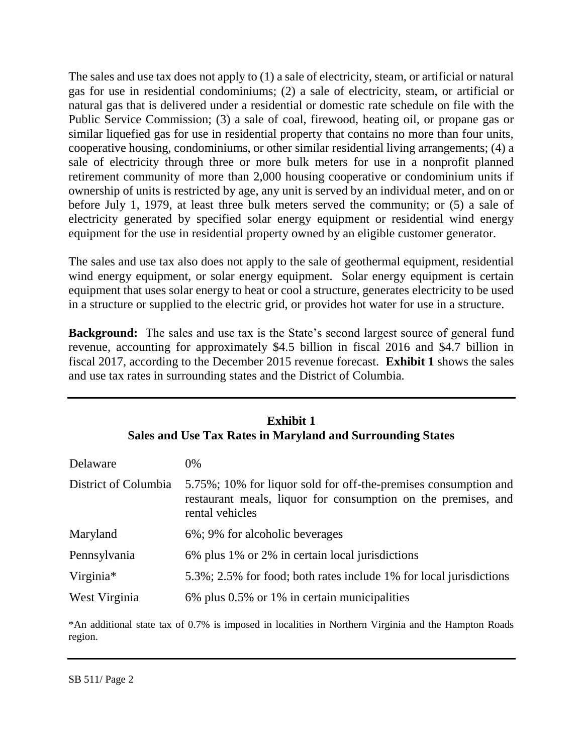The sales and use tax does not apply to (1) a sale of electricity, steam, or artificial or natural gas for use in residential condominiums; (2) a sale of electricity, steam, or artificial or natural gas that is delivered under a residential or domestic rate schedule on file with the Public Service Commission; (3) a sale of coal, firewood, heating oil, or propane gas or similar liquefied gas for use in residential property that contains no more than four units, cooperative housing, condominiums, or other similar residential living arrangements; (4) a sale of electricity through three or more bulk meters for use in a nonprofit planned retirement community of more than 2,000 housing cooperative or condominium units if ownership of units is restricted by age, any unit is served by an individual meter, and on or before July 1, 1979, at least three bulk meters served the community; or (5) a sale of electricity generated by specified solar energy equipment or residential wind energy equipment for the use in residential property owned by an eligible customer generator.

The sales and use tax also does not apply to the sale of geothermal equipment, residential wind energy equipment, or solar energy equipment. Solar energy equipment is certain equipment that uses solar energy to heat or cool a structure, generates electricity to be used in a structure or supplied to the electric grid, or provides hot water for use in a structure.

**Background:** The sales and use tax is the State's second largest source of general fund revenue, accounting for approximately \$4.5 billion in fiscal 2016 and \$4.7 billion in fiscal 2017, according to the December 2015 revenue forecast. **Exhibit 1** shows the sales and use tax rates in surrounding states and the District of Columbia.

| <b>Exhibit 1</b><br><b>Sales and Use Tax Rates in Maryland and Surrounding States</b> |                                                                                                                                                     |  |  |  |  |  |
|---------------------------------------------------------------------------------------|-----------------------------------------------------------------------------------------------------------------------------------------------------|--|--|--|--|--|
| Delaware                                                                              | $0\%$                                                                                                                                               |  |  |  |  |  |
| District of Columbia                                                                  | 5.75%; 10% for liquor sold for off-the-premises consumption and<br>restaurant meals, liquor for consumption on the premises, and<br>rental vehicles |  |  |  |  |  |
| Maryland                                                                              | 6%; 9% for alcoholic beverages                                                                                                                      |  |  |  |  |  |
| Pennsylvania                                                                          | 6% plus 1% or 2% in certain local jurisdictions                                                                                                     |  |  |  |  |  |
| Virginia*                                                                             | 5.3%; 2.5% for food; both rates include 1% for local jurisdictions                                                                                  |  |  |  |  |  |
| West Virginia                                                                         | 6% plus 0.5% or 1% in certain municipalities                                                                                                        |  |  |  |  |  |

\*An additional state tax of 0.7% is imposed in localities in Northern Virginia and the Hampton Roads region.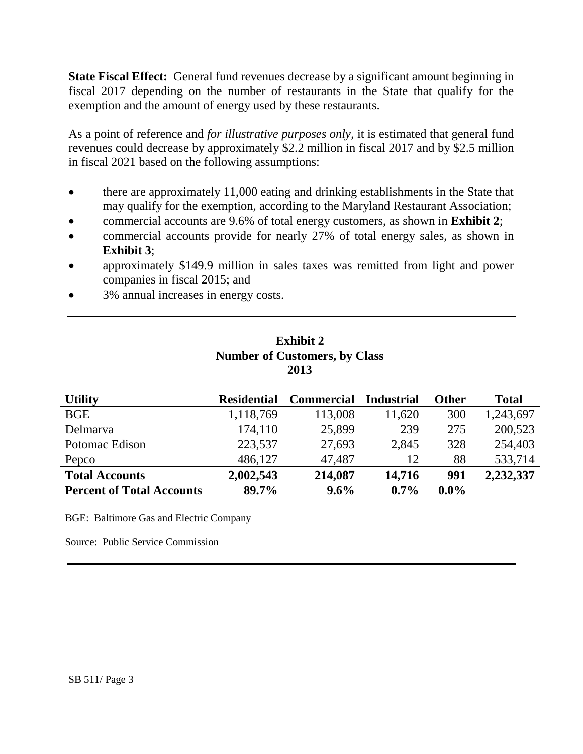**State Fiscal Effect:** General fund revenues decrease by a significant amount beginning in fiscal 2017 depending on the number of restaurants in the State that qualify for the exemption and the amount of energy used by these restaurants.

As a point of reference and *for illustrative purposes only*, it is estimated that general fund revenues could decrease by approximately \$2.2 million in fiscal 2017 and by \$2.5 million in fiscal 2021 based on the following assumptions:

- there are approximately 11,000 eating and drinking establishments in the State that may qualify for the exemption, according to the Maryland Restaurant Association;
- commercial accounts are 9.6% of total energy customers, as shown in **Exhibit 2**;
- commercial accounts provide for nearly 27% of total energy sales, as shown in **Exhibit 3**;
- approximately \$149.9 million in sales taxes was remitted from light and power companies in fiscal 2015; and
- 3% annual increases in energy costs.

### **Exhibit 2 Number of Customers, by Class 2013**

| <b>Utility</b>                   | <b>Residential</b> | <b>Commercial</b> | <b>Industrial</b> | <b>Other</b> | <b>Total</b> |
|----------------------------------|--------------------|-------------------|-------------------|--------------|--------------|
| <b>BGE</b>                       | 1,118,769          | 113,008           | 11,620            | 300          | 1,243,697    |
| Delmarya                         | 174,110            | 25,899            | 239               | 275          | 200,523      |
| Potomac Edison                   | 223,537            | 27,693            | 2,845             | 328          | 254,403      |
| Pepco                            | 486,127            | 47,487            | 12                | 88           | 533,714      |
| <b>Total Accounts</b>            | 2,002,543          | 214,087           | 14,716            | 991          | 2,232,337    |
| <b>Percent of Total Accounts</b> | 89.7%              | $9.6\%$           | $0.7\%$           | $0.0\%$      |              |

BGE: Baltimore Gas and Electric Company

Source: Public Service Commission